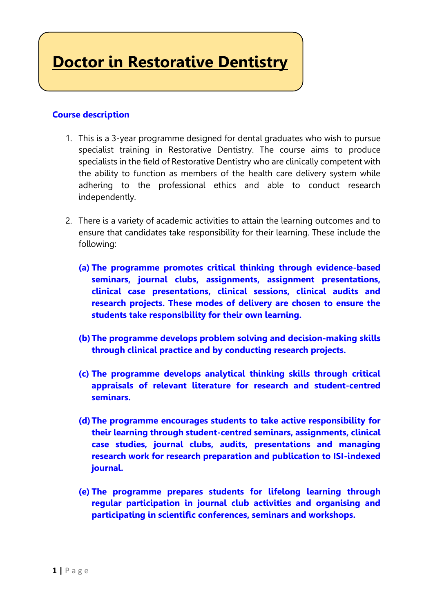**Doctor in Restorative Dentistry**

## **Course description**

- 1. This is a 3-year programme designed for dental graduates who wish to pursue specialist training in Restorative Dentistry. The course aims to produce specialists in the field of Restorative Dentistry who are clinically competent with the ability to function as members of the health care delivery system while adhering to the professional ethics and able to conduct research independently.
- 2. There is a variety of academic activities to attain the learning outcomes and to ensure that candidates take responsibility for their learning. These include the following:
	- **(a) The programme promotes critical thinking through evidence-based seminars, journal clubs, assignments, assignment presentations, clinical case presentations, clinical sessions, clinical audits and research projects. These modes of delivery are chosen to ensure the students take responsibility for their own learning.**
	- **(b)The programme develops problem solving and decision-making skills through clinical practice and by conducting research projects.**
	- **(c) The programme develops analytical thinking skills through critical appraisals of relevant literature for research and student-centred seminars.**
	- **(d)The programme encourages students to take active responsibility for their learning through student-centred seminars, assignments, clinical case studies, journal clubs, audits, presentations and managing research work for research preparation and publication to ISI-indexed journal.**
	- **(e) The programme prepares students for lifelong learning through regular participation in journal club activities and organising and participating in scientific conferences, seminars and workshops.**